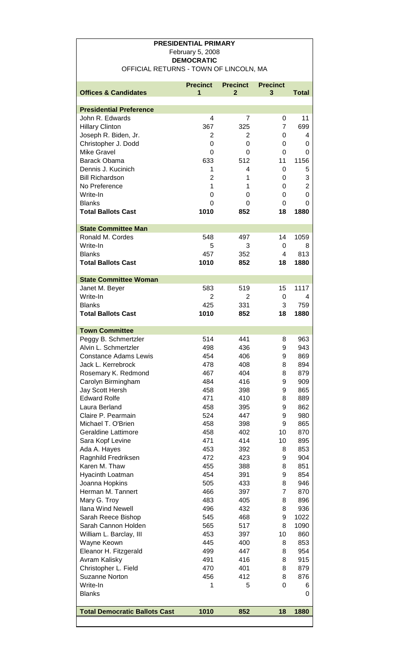## **PRESIDENTIAL PRIMARY** February 5, 2008 **DEMOCRATIC**  OFFICIAL RETURNS - TOWN OF LINCOLN, MA

| <b>Presidential Preference</b><br>John R. Edwards<br>4<br>11<br>7<br>0<br>699<br><b>Hillary Clinton</b><br>367<br>325<br>7<br>2<br>2<br>Joseph R. Biden, Jr.<br>0<br>4<br>Christopher J. Dodd<br>0<br>0<br>0<br>0<br><b>Mike Gravel</b><br>0<br>0<br>0<br>0<br>1156<br><b>Barack Obama</b><br>633<br>512<br>11<br>Dennis J. Kucinich<br>1<br>4<br>0<br>5<br>3<br><b>Bill Richardson</b><br>$\overline{2}$<br>1<br>0<br>$\overline{2}$<br>No Preference<br>1<br>0<br>1<br>0<br>Write-In<br>0<br>0<br>0<br><b>Blanks</b><br>0<br>0<br>0<br>0<br><b>Total Ballots Cast</b><br>1010<br>18<br>1880<br>852<br><b>State Committee Man</b><br>Ronald M. Cordes<br>548<br>1059<br>497<br>14<br>Write-In<br>5<br>3<br>0<br>8<br>813<br><b>Blanks</b><br>457<br>352<br>4<br><b>Total Ballots Cast</b><br>1010<br>852<br>18<br>1880<br><b>State Committee Woman</b><br>583<br>519<br>1117<br>Janet M. Beyer<br>15<br>Write-In<br>2<br>2<br>0<br>4<br>759<br><b>Blanks</b><br>425<br>331<br>3<br><b>Total Ballots Cast</b><br>1010<br>852<br>18<br>1880<br><b>Town Committee</b><br>514<br>441<br>963<br>Peggy B. Schmertzler<br>8<br>Alvin L. Schmertzler<br>498<br>436<br>943<br>9<br>869<br><b>Constance Adams Lewis</b><br>454<br>406<br>9<br>894<br>Jack L. Kerrebrock<br>478<br>408<br>8<br>467<br>404<br>8<br>879<br>Rosemary K. Redmond<br>Carolyn Birmingham<br>484<br>416<br>9<br>909<br>865<br>Jay Scott Hersh<br>458<br>398<br>9<br><b>Edward Rolfe</b><br>471<br>410<br>8<br>889<br>Laura Berland<br>458<br>9<br>862<br>395<br>524<br>Claire P. Pearmain<br>447<br>9<br>980<br>865<br>Michael T. O'Brien<br>458<br>9<br>398<br><b>Geraldine Lattimore</b><br>458<br>402<br>10<br>870<br>Sara Kopf Levine<br>471<br>414<br>10<br>895<br>453<br>392<br>853<br>Ada A. Hayes<br>8<br>472<br>423<br>904<br>Ragnhild Fredriksen<br>9<br>851<br>Karen M. Thaw<br>455<br>388<br>8<br>454<br>Hyacinth Loatman<br>391<br>9<br>854<br>Joanna Hopkins<br>505<br>8<br>946<br>433<br>Herman M. Tannert<br>466<br>397<br>7<br>870<br>Mary G. Troy<br>483<br>405<br>8<br>896<br><b>Ilana Wind Newell</b><br>496<br>432<br>8<br>936<br>545<br>468<br>9<br>1022<br>Sarah Reece Bishop<br>Sarah Cannon Holden<br>565<br>517<br>8<br>1090<br>453<br>10<br>860<br>William L. Barclay, III<br>397<br>445<br>853<br>Wayne Keown<br>400<br>8<br>499<br>Eleanor H. Fitzgerald<br>447<br>8<br>954<br>491<br>Avram Kalisky<br>416<br>8<br>915<br>Christopher L. Field<br>470<br>401<br>8<br>879<br><b>Suzanne Norton</b><br>456<br>412<br>876<br>8<br>Write-In<br>0<br>1<br>5<br>6<br><b>Blanks</b><br>0<br><b>Total Democratic Ballots Cast</b><br>1010<br>852<br>18<br>1880 |                                 | <b>Precinct</b> | <b>Precinct</b> | <b>Precinct</b> |       |
|----------------------------------------------------------------------------------------------------------------------------------------------------------------------------------------------------------------------------------------------------------------------------------------------------------------------------------------------------------------------------------------------------------------------------------------------------------------------------------------------------------------------------------------------------------------------------------------------------------------------------------------------------------------------------------------------------------------------------------------------------------------------------------------------------------------------------------------------------------------------------------------------------------------------------------------------------------------------------------------------------------------------------------------------------------------------------------------------------------------------------------------------------------------------------------------------------------------------------------------------------------------------------------------------------------------------------------------------------------------------------------------------------------------------------------------------------------------------------------------------------------------------------------------------------------------------------------------------------------------------------------------------------------------------------------------------------------------------------------------------------------------------------------------------------------------------------------------------------------------------------------------------------------------------------------------------------------------------------------------------------------------------------------------------------------------------------------------------------------------------------------------------------------------------------------------------------------------------------------------------------------------------------------------------------------------------------------------------------------------------------------------------------------------------------------------------------------------------------------------------------------------------------------------------------------------------------------------------------------------------------------------------------|---------------------------------|-----------------|-----------------|-----------------|-------|
|                                                                                                                                                                                                                                                                                                                                                                                                                                                                                                                                                                                                                                                                                                                                                                                                                                                                                                                                                                                                                                                                                                                                                                                                                                                                                                                                                                                                                                                                                                                                                                                                                                                                                                                                                                                                                                                                                                                                                                                                                                                                                                                                                                                                                                                                                                                                                                                                                                                                                                                                                                                                                                                    | <b>Offices &amp; Candidates</b> | 1               | 2               | 3               | Total |
|                                                                                                                                                                                                                                                                                                                                                                                                                                                                                                                                                                                                                                                                                                                                                                                                                                                                                                                                                                                                                                                                                                                                                                                                                                                                                                                                                                                                                                                                                                                                                                                                                                                                                                                                                                                                                                                                                                                                                                                                                                                                                                                                                                                                                                                                                                                                                                                                                                                                                                                                                                                                                                                    |                                 |                 |                 |                 |       |
|                                                                                                                                                                                                                                                                                                                                                                                                                                                                                                                                                                                                                                                                                                                                                                                                                                                                                                                                                                                                                                                                                                                                                                                                                                                                                                                                                                                                                                                                                                                                                                                                                                                                                                                                                                                                                                                                                                                                                                                                                                                                                                                                                                                                                                                                                                                                                                                                                                                                                                                                                                                                                                                    |                                 |                 |                 |                 |       |
|                                                                                                                                                                                                                                                                                                                                                                                                                                                                                                                                                                                                                                                                                                                                                                                                                                                                                                                                                                                                                                                                                                                                                                                                                                                                                                                                                                                                                                                                                                                                                                                                                                                                                                                                                                                                                                                                                                                                                                                                                                                                                                                                                                                                                                                                                                                                                                                                                                                                                                                                                                                                                                                    |                                 |                 |                 |                 |       |
|                                                                                                                                                                                                                                                                                                                                                                                                                                                                                                                                                                                                                                                                                                                                                                                                                                                                                                                                                                                                                                                                                                                                                                                                                                                                                                                                                                                                                                                                                                                                                                                                                                                                                                                                                                                                                                                                                                                                                                                                                                                                                                                                                                                                                                                                                                                                                                                                                                                                                                                                                                                                                                                    |                                 |                 |                 |                 |       |
|                                                                                                                                                                                                                                                                                                                                                                                                                                                                                                                                                                                                                                                                                                                                                                                                                                                                                                                                                                                                                                                                                                                                                                                                                                                                                                                                                                                                                                                                                                                                                                                                                                                                                                                                                                                                                                                                                                                                                                                                                                                                                                                                                                                                                                                                                                                                                                                                                                                                                                                                                                                                                                                    |                                 |                 |                 |                 |       |
|                                                                                                                                                                                                                                                                                                                                                                                                                                                                                                                                                                                                                                                                                                                                                                                                                                                                                                                                                                                                                                                                                                                                                                                                                                                                                                                                                                                                                                                                                                                                                                                                                                                                                                                                                                                                                                                                                                                                                                                                                                                                                                                                                                                                                                                                                                                                                                                                                                                                                                                                                                                                                                                    |                                 |                 |                 |                 |       |
|                                                                                                                                                                                                                                                                                                                                                                                                                                                                                                                                                                                                                                                                                                                                                                                                                                                                                                                                                                                                                                                                                                                                                                                                                                                                                                                                                                                                                                                                                                                                                                                                                                                                                                                                                                                                                                                                                                                                                                                                                                                                                                                                                                                                                                                                                                                                                                                                                                                                                                                                                                                                                                                    |                                 |                 |                 |                 |       |
|                                                                                                                                                                                                                                                                                                                                                                                                                                                                                                                                                                                                                                                                                                                                                                                                                                                                                                                                                                                                                                                                                                                                                                                                                                                                                                                                                                                                                                                                                                                                                                                                                                                                                                                                                                                                                                                                                                                                                                                                                                                                                                                                                                                                                                                                                                                                                                                                                                                                                                                                                                                                                                                    |                                 |                 |                 |                 |       |
|                                                                                                                                                                                                                                                                                                                                                                                                                                                                                                                                                                                                                                                                                                                                                                                                                                                                                                                                                                                                                                                                                                                                                                                                                                                                                                                                                                                                                                                                                                                                                                                                                                                                                                                                                                                                                                                                                                                                                                                                                                                                                                                                                                                                                                                                                                                                                                                                                                                                                                                                                                                                                                                    |                                 |                 |                 |                 |       |
|                                                                                                                                                                                                                                                                                                                                                                                                                                                                                                                                                                                                                                                                                                                                                                                                                                                                                                                                                                                                                                                                                                                                                                                                                                                                                                                                                                                                                                                                                                                                                                                                                                                                                                                                                                                                                                                                                                                                                                                                                                                                                                                                                                                                                                                                                                                                                                                                                                                                                                                                                                                                                                                    |                                 |                 |                 |                 |       |
|                                                                                                                                                                                                                                                                                                                                                                                                                                                                                                                                                                                                                                                                                                                                                                                                                                                                                                                                                                                                                                                                                                                                                                                                                                                                                                                                                                                                                                                                                                                                                                                                                                                                                                                                                                                                                                                                                                                                                                                                                                                                                                                                                                                                                                                                                                                                                                                                                                                                                                                                                                                                                                                    |                                 |                 |                 |                 |       |
|                                                                                                                                                                                                                                                                                                                                                                                                                                                                                                                                                                                                                                                                                                                                                                                                                                                                                                                                                                                                                                                                                                                                                                                                                                                                                                                                                                                                                                                                                                                                                                                                                                                                                                                                                                                                                                                                                                                                                                                                                                                                                                                                                                                                                                                                                                                                                                                                                                                                                                                                                                                                                                                    |                                 |                 |                 |                 |       |
|                                                                                                                                                                                                                                                                                                                                                                                                                                                                                                                                                                                                                                                                                                                                                                                                                                                                                                                                                                                                                                                                                                                                                                                                                                                                                                                                                                                                                                                                                                                                                                                                                                                                                                                                                                                                                                                                                                                                                                                                                                                                                                                                                                                                                                                                                                                                                                                                                                                                                                                                                                                                                                                    |                                 |                 |                 |                 |       |
|                                                                                                                                                                                                                                                                                                                                                                                                                                                                                                                                                                                                                                                                                                                                                                                                                                                                                                                                                                                                                                                                                                                                                                                                                                                                                                                                                                                                                                                                                                                                                                                                                                                                                                                                                                                                                                                                                                                                                                                                                                                                                                                                                                                                                                                                                                                                                                                                                                                                                                                                                                                                                                                    |                                 |                 |                 |                 |       |
|                                                                                                                                                                                                                                                                                                                                                                                                                                                                                                                                                                                                                                                                                                                                                                                                                                                                                                                                                                                                                                                                                                                                                                                                                                                                                                                                                                                                                                                                                                                                                                                                                                                                                                                                                                                                                                                                                                                                                                                                                                                                                                                                                                                                                                                                                                                                                                                                                                                                                                                                                                                                                                                    |                                 |                 |                 |                 |       |
|                                                                                                                                                                                                                                                                                                                                                                                                                                                                                                                                                                                                                                                                                                                                                                                                                                                                                                                                                                                                                                                                                                                                                                                                                                                                                                                                                                                                                                                                                                                                                                                                                                                                                                                                                                                                                                                                                                                                                                                                                                                                                                                                                                                                                                                                                                                                                                                                                                                                                                                                                                                                                                                    |                                 |                 |                 |                 |       |
|                                                                                                                                                                                                                                                                                                                                                                                                                                                                                                                                                                                                                                                                                                                                                                                                                                                                                                                                                                                                                                                                                                                                                                                                                                                                                                                                                                                                                                                                                                                                                                                                                                                                                                                                                                                                                                                                                                                                                                                                                                                                                                                                                                                                                                                                                                                                                                                                                                                                                                                                                                                                                                                    |                                 |                 |                 |                 |       |
|                                                                                                                                                                                                                                                                                                                                                                                                                                                                                                                                                                                                                                                                                                                                                                                                                                                                                                                                                                                                                                                                                                                                                                                                                                                                                                                                                                                                                                                                                                                                                                                                                                                                                                                                                                                                                                                                                                                                                                                                                                                                                                                                                                                                                                                                                                                                                                                                                                                                                                                                                                                                                                                    |                                 |                 |                 |                 |       |
|                                                                                                                                                                                                                                                                                                                                                                                                                                                                                                                                                                                                                                                                                                                                                                                                                                                                                                                                                                                                                                                                                                                                                                                                                                                                                                                                                                                                                                                                                                                                                                                                                                                                                                                                                                                                                                                                                                                                                                                                                                                                                                                                                                                                                                                                                                                                                                                                                                                                                                                                                                                                                                                    |                                 |                 |                 |                 |       |
|                                                                                                                                                                                                                                                                                                                                                                                                                                                                                                                                                                                                                                                                                                                                                                                                                                                                                                                                                                                                                                                                                                                                                                                                                                                                                                                                                                                                                                                                                                                                                                                                                                                                                                                                                                                                                                                                                                                                                                                                                                                                                                                                                                                                                                                                                                                                                                                                                                                                                                                                                                                                                                                    |                                 |                 |                 |                 |       |
|                                                                                                                                                                                                                                                                                                                                                                                                                                                                                                                                                                                                                                                                                                                                                                                                                                                                                                                                                                                                                                                                                                                                                                                                                                                                                                                                                                                                                                                                                                                                                                                                                                                                                                                                                                                                                                                                                                                                                                                                                                                                                                                                                                                                                                                                                                                                                                                                                                                                                                                                                                                                                                                    |                                 |                 |                 |                 |       |
|                                                                                                                                                                                                                                                                                                                                                                                                                                                                                                                                                                                                                                                                                                                                                                                                                                                                                                                                                                                                                                                                                                                                                                                                                                                                                                                                                                                                                                                                                                                                                                                                                                                                                                                                                                                                                                                                                                                                                                                                                                                                                                                                                                                                                                                                                                                                                                                                                                                                                                                                                                                                                                                    |                                 |                 |                 |                 |       |
|                                                                                                                                                                                                                                                                                                                                                                                                                                                                                                                                                                                                                                                                                                                                                                                                                                                                                                                                                                                                                                                                                                                                                                                                                                                                                                                                                                                                                                                                                                                                                                                                                                                                                                                                                                                                                                                                                                                                                                                                                                                                                                                                                                                                                                                                                                                                                                                                                                                                                                                                                                                                                                                    |                                 |                 |                 |                 |       |
|                                                                                                                                                                                                                                                                                                                                                                                                                                                                                                                                                                                                                                                                                                                                                                                                                                                                                                                                                                                                                                                                                                                                                                                                                                                                                                                                                                                                                                                                                                                                                                                                                                                                                                                                                                                                                                                                                                                                                                                                                                                                                                                                                                                                                                                                                                                                                                                                                                                                                                                                                                                                                                                    |                                 |                 |                 |                 |       |
|                                                                                                                                                                                                                                                                                                                                                                                                                                                                                                                                                                                                                                                                                                                                                                                                                                                                                                                                                                                                                                                                                                                                                                                                                                                                                                                                                                                                                                                                                                                                                                                                                                                                                                                                                                                                                                                                                                                                                                                                                                                                                                                                                                                                                                                                                                                                                                                                                                                                                                                                                                                                                                                    |                                 |                 |                 |                 |       |
|                                                                                                                                                                                                                                                                                                                                                                                                                                                                                                                                                                                                                                                                                                                                                                                                                                                                                                                                                                                                                                                                                                                                                                                                                                                                                                                                                                                                                                                                                                                                                                                                                                                                                                                                                                                                                                                                                                                                                                                                                                                                                                                                                                                                                                                                                                                                                                                                                                                                                                                                                                                                                                                    |                                 |                 |                 |                 |       |
|                                                                                                                                                                                                                                                                                                                                                                                                                                                                                                                                                                                                                                                                                                                                                                                                                                                                                                                                                                                                                                                                                                                                                                                                                                                                                                                                                                                                                                                                                                                                                                                                                                                                                                                                                                                                                                                                                                                                                                                                                                                                                                                                                                                                                                                                                                                                                                                                                                                                                                                                                                                                                                                    |                                 |                 |                 |                 |       |
|                                                                                                                                                                                                                                                                                                                                                                                                                                                                                                                                                                                                                                                                                                                                                                                                                                                                                                                                                                                                                                                                                                                                                                                                                                                                                                                                                                                                                                                                                                                                                                                                                                                                                                                                                                                                                                                                                                                                                                                                                                                                                                                                                                                                                                                                                                                                                                                                                                                                                                                                                                                                                                                    |                                 |                 |                 |                 |       |
|                                                                                                                                                                                                                                                                                                                                                                                                                                                                                                                                                                                                                                                                                                                                                                                                                                                                                                                                                                                                                                                                                                                                                                                                                                                                                                                                                                                                                                                                                                                                                                                                                                                                                                                                                                                                                                                                                                                                                                                                                                                                                                                                                                                                                                                                                                                                                                                                                                                                                                                                                                                                                                                    |                                 |                 |                 |                 |       |
|                                                                                                                                                                                                                                                                                                                                                                                                                                                                                                                                                                                                                                                                                                                                                                                                                                                                                                                                                                                                                                                                                                                                                                                                                                                                                                                                                                                                                                                                                                                                                                                                                                                                                                                                                                                                                                                                                                                                                                                                                                                                                                                                                                                                                                                                                                                                                                                                                                                                                                                                                                                                                                                    |                                 |                 |                 |                 |       |
|                                                                                                                                                                                                                                                                                                                                                                                                                                                                                                                                                                                                                                                                                                                                                                                                                                                                                                                                                                                                                                                                                                                                                                                                                                                                                                                                                                                                                                                                                                                                                                                                                                                                                                                                                                                                                                                                                                                                                                                                                                                                                                                                                                                                                                                                                                                                                                                                                                                                                                                                                                                                                                                    |                                 |                 |                 |                 |       |
|                                                                                                                                                                                                                                                                                                                                                                                                                                                                                                                                                                                                                                                                                                                                                                                                                                                                                                                                                                                                                                                                                                                                                                                                                                                                                                                                                                                                                                                                                                                                                                                                                                                                                                                                                                                                                                                                                                                                                                                                                                                                                                                                                                                                                                                                                                                                                                                                                                                                                                                                                                                                                                                    |                                 |                 |                 |                 |       |
|                                                                                                                                                                                                                                                                                                                                                                                                                                                                                                                                                                                                                                                                                                                                                                                                                                                                                                                                                                                                                                                                                                                                                                                                                                                                                                                                                                                                                                                                                                                                                                                                                                                                                                                                                                                                                                                                                                                                                                                                                                                                                                                                                                                                                                                                                                                                                                                                                                                                                                                                                                                                                                                    |                                 |                 |                 |                 |       |
|                                                                                                                                                                                                                                                                                                                                                                                                                                                                                                                                                                                                                                                                                                                                                                                                                                                                                                                                                                                                                                                                                                                                                                                                                                                                                                                                                                                                                                                                                                                                                                                                                                                                                                                                                                                                                                                                                                                                                                                                                                                                                                                                                                                                                                                                                                                                                                                                                                                                                                                                                                                                                                                    |                                 |                 |                 |                 |       |
|                                                                                                                                                                                                                                                                                                                                                                                                                                                                                                                                                                                                                                                                                                                                                                                                                                                                                                                                                                                                                                                                                                                                                                                                                                                                                                                                                                                                                                                                                                                                                                                                                                                                                                                                                                                                                                                                                                                                                                                                                                                                                                                                                                                                                                                                                                                                                                                                                                                                                                                                                                                                                                                    |                                 |                 |                 |                 |       |
|                                                                                                                                                                                                                                                                                                                                                                                                                                                                                                                                                                                                                                                                                                                                                                                                                                                                                                                                                                                                                                                                                                                                                                                                                                                                                                                                                                                                                                                                                                                                                                                                                                                                                                                                                                                                                                                                                                                                                                                                                                                                                                                                                                                                                                                                                                                                                                                                                                                                                                                                                                                                                                                    |                                 |                 |                 |                 |       |
|                                                                                                                                                                                                                                                                                                                                                                                                                                                                                                                                                                                                                                                                                                                                                                                                                                                                                                                                                                                                                                                                                                                                                                                                                                                                                                                                                                                                                                                                                                                                                                                                                                                                                                                                                                                                                                                                                                                                                                                                                                                                                                                                                                                                                                                                                                                                                                                                                                                                                                                                                                                                                                                    |                                 |                 |                 |                 |       |
|                                                                                                                                                                                                                                                                                                                                                                                                                                                                                                                                                                                                                                                                                                                                                                                                                                                                                                                                                                                                                                                                                                                                                                                                                                                                                                                                                                                                                                                                                                                                                                                                                                                                                                                                                                                                                                                                                                                                                                                                                                                                                                                                                                                                                                                                                                                                                                                                                                                                                                                                                                                                                                                    |                                 |                 |                 |                 |       |
|                                                                                                                                                                                                                                                                                                                                                                                                                                                                                                                                                                                                                                                                                                                                                                                                                                                                                                                                                                                                                                                                                                                                                                                                                                                                                                                                                                                                                                                                                                                                                                                                                                                                                                                                                                                                                                                                                                                                                                                                                                                                                                                                                                                                                                                                                                                                                                                                                                                                                                                                                                                                                                                    |                                 |                 |                 |                 |       |
|                                                                                                                                                                                                                                                                                                                                                                                                                                                                                                                                                                                                                                                                                                                                                                                                                                                                                                                                                                                                                                                                                                                                                                                                                                                                                                                                                                                                                                                                                                                                                                                                                                                                                                                                                                                                                                                                                                                                                                                                                                                                                                                                                                                                                                                                                                                                                                                                                                                                                                                                                                                                                                                    |                                 |                 |                 |                 |       |
|                                                                                                                                                                                                                                                                                                                                                                                                                                                                                                                                                                                                                                                                                                                                                                                                                                                                                                                                                                                                                                                                                                                                                                                                                                                                                                                                                                                                                                                                                                                                                                                                                                                                                                                                                                                                                                                                                                                                                                                                                                                                                                                                                                                                                                                                                                                                                                                                                                                                                                                                                                                                                                                    |                                 |                 |                 |                 |       |
|                                                                                                                                                                                                                                                                                                                                                                                                                                                                                                                                                                                                                                                                                                                                                                                                                                                                                                                                                                                                                                                                                                                                                                                                                                                                                                                                                                                                                                                                                                                                                                                                                                                                                                                                                                                                                                                                                                                                                                                                                                                                                                                                                                                                                                                                                                                                                                                                                                                                                                                                                                                                                                                    |                                 |                 |                 |                 |       |
|                                                                                                                                                                                                                                                                                                                                                                                                                                                                                                                                                                                                                                                                                                                                                                                                                                                                                                                                                                                                                                                                                                                                                                                                                                                                                                                                                                                                                                                                                                                                                                                                                                                                                                                                                                                                                                                                                                                                                                                                                                                                                                                                                                                                                                                                                                                                                                                                                                                                                                                                                                                                                                                    |                                 |                 |                 |                 |       |
|                                                                                                                                                                                                                                                                                                                                                                                                                                                                                                                                                                                                                                                                                                                                                                                                                                                                                                                                                                                                                                                                                                                                                                                                                                                                                                                                                                                                                                                                                                                                                                                                                                                                                                                                                                                                                                                                                                                                                                                                                                                                                                                                                                                                                                                                                                                                                                                                                                                                                                                                                                                                                                                    |                                 |                 |                 |                 |       |
|                                                                                                                                                                                                                                                                                                                                                                                                                                                                                                                                                                                                                                                                                                                                                                                                                                                                                                                                                                                                                                                                                                                                                                                                                                                                                                                                                                                                                                                                                                                                                                                                                                                                                                                                                                                                                                                                                                                                                                                                                                                                                                                                                                                                                                                                                                                                                                                                                                                                                                                                                                                                                                                    |                                 |                 |                 |                 |       |
|                                                                                                                                                                                                                                                                                                                                                                                                                                                                                                                                                                                                                                                                                                                                                                                                                                                                                                                                                                                                                                                                                                                                                                                                                                                                                                                                                                                                                                                                                                                                                                                                                                                                                                                                                                                                                                                                                                                                                                                                                                                                                                                                                                                                                                                                                                                                                                                                                                                                                                                                                                                                                                                    |                                 |                 |                 |                 |       |
|                                                                                                                                                                                                                                                                                                                                                                                                                                                                                                                                                                                                                                                                                                                                                                                                                                                                                                                                                                                                                                                                                                                                                                                                                                                                                                                                                                                                                                                                                                                                                                                                                                                                                                                                                                                                                                                                                                                                                                                                                                                                                                                                                                                                                                                                                                                                                                                                                                                                                                                                                                                                                                                    |                                 |                 |                 |                 |       |
|                                                                                                                                                                                                                                                                                                                                                                                                                                                                                                                                                                                                                                                                                                                                                                                                                                                                                                                                                                                                                                                                                                                                                                                                                                                                                                                                                                                                                                                                                                                                                                                                                                                                                                                                                                                                                                                                                                                                                                                                                                                                                                                                                                                                                                                                                                                                                                                                                                                                                                                                                                                                                                                    |                                 |                 |                 |                 |       |
|                                                                                                                                                                                                                                                                                                                                                                                                                                                                                                                                                                                                                                                                                                                                                                                                                                                                                                                                                                                                                                                                                                                                                                                                                                                                                                                                                                                                                                                                                                                                                                                                                                                                                                                                                                                                                                                                                                                                                                                                                                                                                                                                                                                                                                                                                                                                                                                                                                                                                                                                                                                                                                                    |                                 |                 |                 |                 |       |
|                                                                                                                                                                                                                                                                                                                                                                                                                                                                                                                                                                                                                                                                                                                                                                                                                                                                                                                                                                                                                                                                                                                                                                                                                                                                                                                                                                                                                                                                                                                                                                                                                                                                                                                                                                                                                                                                                                                                                                                                                                                                                                                                                                                                                                                                                                                                                                                                                                                                                                                                                                                                                                                    |                                 |                 |                 |                 |       |
|                                                                                                                                                                                                                                                                                                                                                                                                                                                                                                                                                                                                                                                                                                                                                                                                                                                                                                                                                                                                                                                                                                                                                                                                                                                                                                                                                                                                                                                                                                                                                                                                                                                                                                                                                                                                                                                                                                                                                                                                                                                                                                                                                                                                                                                                                                                                                                                                                                                                                                                                                                                                                                                    |                                 |                 |                 |                 |       |
|                                                                                                                                                                                                                                                                                                                                                                                                                                                                                                                                                                                                                                                                                                                                                                                                                                                                                                                                                                                                                                                                                                                                                                                                                                                                                                                                                                                                                                                                                                                                                                                                                                                                                                                                                                                                                                                                                                                                                                                                                                                                                                                                                                                                                                                                                                                                                                                                                                                                                                                                                                                                                                                    |                                 |                 |                 |                 |       |
|                                                                                                                                                                                                                                                                                                                                                                                                                                                                                                                                                                                                                                                                                                                                                                                                                                                                                                                                                                                                                                                                                                                                                                                                                                                                                                                                                                                                                                                                                                                                                                                                                                                                                                                                                                                                                                                                                                                                                                                                                                                                                                                                                                                                                                                                                                                                                                                                                                                                                                                                                                                                                                                    |                                 |                 |                 |                 |       |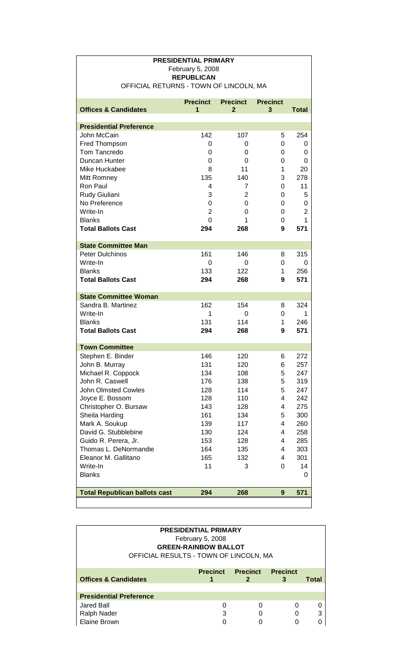| <b>PRESIDENTIAL PRIMARY</b>            |                                       |                 |                         |                |  |
|----------------------------------------|---------------------------------------|-----------------|-------------------------|----------------|--|
|                                        | February 5, 2008<br><b>REPUBLICAN</b> |                 |                         |                |  |
| OFFICIAL RETURNS - TOWN OF LINCOLN, MA |                                       |                 |                         |                |  |
|                                        |                                       |                 |                         |                |  |
|                                        | <b>Precinct</b>                       | <b>Precinct</b> | <b>Precinct</b>         |                |  |
| <b>Offices &amp; Candidates</b>        | 1                                     | $\mathbf{2}$    | 3                       | <b>Total</b>   |  |
| <b>Presidential Preference</b>         |                                       |                 |                         |                |  |
| John McCain                            | 142                                   | 107             | 5                       | 254            |  |
| Fred Thompson                          | 0                                     | 0               | $\Omega$                | 0              |  |
| Tom Tancredo                           | 0                                     | 0               | 0                       | 0              |  |
| Duncan Hunter                          | 0                                     | 0               | $\Omega$                | 0              |  |
| Mike Huckabee                          | 8                                     | 11              | 1                       | 20             |  |
| Mitt Romney                            | 135                                   | 140             | 3                       | 278            |  |
| Ron Paul                               | 4                                     | $\overline{7}$  | 0                       | 11             |  |
| Rudy Giuliani                          | 3                                     | $\overline{2}$  | 0                       | 5              |  |
| No Preference                          | 0                                     | 0               | 0                       | 0              |  |
| Write-In                               | $\overline{2}$                        | 0               | 0                       | $\overline{2}$ |  |
| <b>Blanks</b>                          | 0                                     | 1               | 0                       | 1              |  |
| <b>Total Ballots Cast</b>              | 294                                   | 268             | 9                       | 571            |  |
|                                        |                                       |                 |                         |                |  |
| <b>State Committee Man</b>             |                                       |                 |                         |                |  |
| Peter Dulchinos                        | 161                                   | 146             | 8                       | 315            |  |
| Write-In                               | 0                                     | 0               | 0                       | 0              |  |
| <b>Blanks</b>                          | 133                                   | 122             | 1                       | 256            |  |
| <b>Total Ballots Cast</b>              | 294                                   | 268             | 9                       | 571            |  |
| <b>State Committee Woman</b>           |                                       |                 |                         |                |  |
| Sandra B. Martinez                     | 162                                   | 154             | 8                       | 324            |  |
| Write-In                               | 1                                     | 0               | $\Omega$                | 1              |  |
| <b>Blanks</b>                          | 131                                   | 114             | 1                       | 246            |  |
| <b>Total Ballots Cast</b>              | 294                                   | 268             | 9                       | 571            |  |
| <b>Town Committee</b>                  |                                       |                 |                         |                |  |
| Stephen E. Binder                      | 146                                   | 120             | 6                       | 272            |  |
| John B. Murray                         | 131                                   | 120             | 6                       | 257            |  |
| Michael R. Coppock                     | 134                                   | 108             | 5                       | 247            |  |
| John R. Caswell                        | 176                                   | 138             | 5                       | 319            |  |
| <b>John Olmsted Cowles</b>             | 128                                   | 114             | 5                       | 247            |  |
| Joyce E. Bossom                        | 128                                   | 110             | 4                       | 242            |  |
| Christopher O. Bursaw                  | 143                                   | 128             | $\overline{\mathbf{4}}$ | 275            |  |
| Sheila Harding                         | 161                                   | 134             | 5                       | 300            |  |
| Mark A. Soukup                         | 139                                   | 117             | 4                       | 260            |  |
| David G. Stubblebine                   | 130                                   | 124             | 4                       | 258            |  |
| Guido R. Perera, Jr.                   | 153                                   | 128             | 4                       | 285            |  |
| Thomas L. DeNormandie                  | 164                                   | 135             | 4                       | 303            |  |
| Eleanor M. Gallitano                   | 165                                   | 132             | $\overline{\mathbf{4}}$ | 301            |  |
| Write-In                               | 11                                    | 3               | 0                       | 14             |  |
| <b>Blanks</b>                          |                                       |                 |                         | 0              |  |
|                                        |                                       |                 |                         |                |  |
| <b>Total Republican ballots cast</b>   | 294                                   | 268             | 9                       | 571            |  |
|                                        |                                       |                 |                         |                |  |

**PRESIDENTIAL PRIMARY**

| <b>PRESIDENTIAL PRIMARY</b>            |                             |                 |                 |       |
|----------------------------------------|-----------------------------|-----------------|-----------------|-------|
|                                        | February 5, 2008            |                 |                 |       |
|                                        | <b>GREEN-RAINBOW BALLOT</b> |                 |                 |       |
| OFFICIAL RESULTS - TOWN OF LINCOLN, MA |                             |                 |                 |       |
|                                        |                             |                 |                 |       |
|                                        | <b>Precinct</b>             | <b>Precinct</b> | <b>Precinct</b> |       |
| <b>Offices &amp; Candidates</b>        |                             |                 | 3               | Total |
|                                        |                             |                 |                 |       |
| <b>Presidential Preference</b>         |                             |                 |                 |       |
|                                        |                             |                 |                 |       |
| Jared Ball                             | 0                           |                 |                 |       |
| Ralph Nader                            | 3                           |                 |                 | 3     |